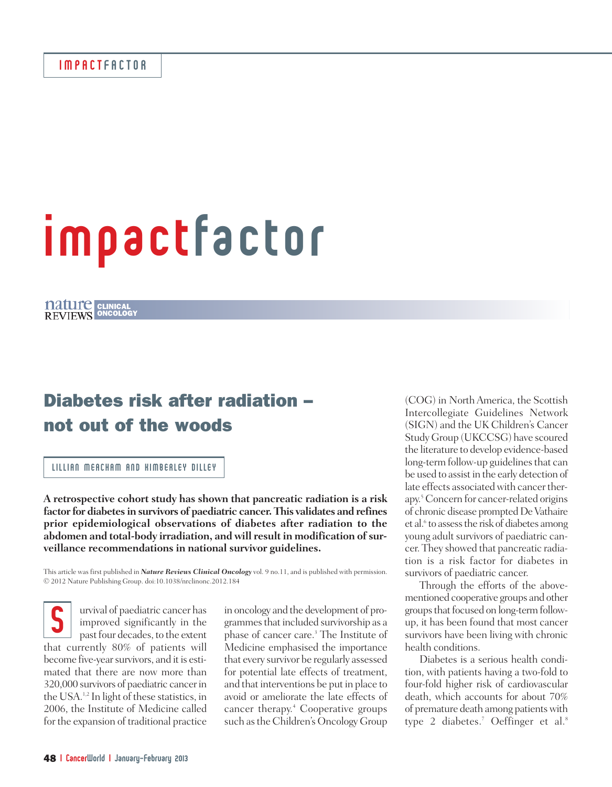# impactfactor

## **CLINICAL ONCOLOGY**

# **Diabetes risk after radiation – not out of the woods**

### LILLIAN MEACHAM AND KIMBERLEY DILLEY

**A retrospective cohort study has shown that pancreatic radiation is a risk factor for diabetes in survivors of paediatric cancer. This validates and refines prior epidemiological observations of diabetes after radiation to the abdomen and total-body irradiation, and will result in modification of surveillance recommendations in national survivor guidelines.**

This article was first published in *Nature Reviews Clinical Oncology* vol. 9 no.11, and is published with permission. © 2012 Nature Publishing Group. doi:10.1038/nrclinonc.2012.184

urvival of paediatric cancer has improved significantly in the past four decades, to the extent starting that that currently 80% of patients will that currently 80% of patients will become five-year survivors, and it is estimated that there are now more than 320,000 survivors of paediatric cancerin the USA. 1,2 In light of these statistics, in 2006, the Institute of Medicine called for the expansion of traditional practice

in oncology and the development of programmes that included survivorship as a phase of cancer care. <sup>3</sup> The Institute of Medicine emphasised the importance that every survivor be regularly assessed for potential late effects of treatment, and that interventions be put in place to avoid or ameliorate the late effects of cancer therapy. <sup>4</sup> Cooperative groups such asthe Children's Oncology Group

(COG) in NorthAmerica, the Scottish Intercollegiate Guidelines Network (SIGN) and the UK Children's Cancer Study Group (UKCCSG) have scoured the literature to develop evidence-based long-term follow-up guidelines that can be used to assist in the early detection of late effects associated with cancer therapy. <sup>5</sup> Concern for cancer-related origins of chronic disease prompted De Vathaire et al. <sup>6</sup> to assessthe risk of diabetes among young adult survivors of paediatric cancer. They showed that pancreatic radiation is a risk factor for diabetes in survivors of paediatric cancer.

Through the efforts of the abovementioned cooperative groups and other groups that focused on long-term followup, it has been found that most cancer survivors have been living with chronic health conditions.

Diabetes is a serious health condition, with patients having a two-fold to four-fold higher risk of cardiovascular death, which accounts for about 70% of premature death among patients with type 2 diabetes. <sup>7</sup> Oeffinger et al. 8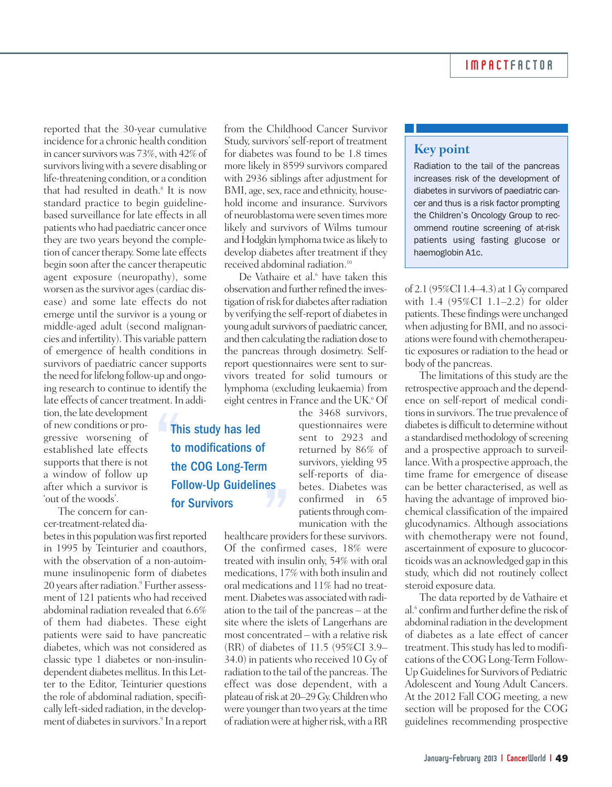reported that the 30-year cumulative incidence for a chronic health condition in cancer survivors was 73%, with 42% of survivors living with a severe disabling or life-threatening condition, or a condition that had resulted in death. <sup>8</sup> It is now standard practice to begin guidelinebased surveillance for late effects in all patientswho had paediatric cancer once they are two years beyond the completion of cancer therapy. Some late effects begin soon after the cancer therapeutic agent exposure (neuropathy), some worsen as the survivor ages (cardiac disease) and some late effects do not emerge until the survivor is a young or middle-aged adult (second malignancies and infertility).This variable pattern of emergence of health conditions in survivors of paediatric cancer supports the need for lifelong follow-up and ongoing research to continue to identify the late effects of cancer treatment. In addi-The to the

tion, the late development of new conditions or progressive worsening of established late effects supports that there is not a window of follow up after which a survivor is 'out of the woods'.

The concern for cancer-treatment-related dia-

betes in this population was first reported in 1995 by Teinturier and coauthors, with the observation of a non-autoimmune insulinopenic form of diabetes 20 years afterradiation. <sup>9</sup> Further assessment of 121 patients who had received abdominal radiation revealed that 6.6% of them had diabetes. These eight patients were said to have pancreatic diabetes, which was not considered as classic type 1 diabetes or non-insulindependent diabetes mellitus. In this Letter to the Editor, Teinturier questions the role of abdominal radiation, specifically left-sided radiation, in the development of diabetes in survivors.<sup>9</sup> In a report

from the Childhood Cancer Survivor Study, survivors' self-report of treatment for diabetes was found to be 1.8 times more likely in 8599 survivors compared with 2936 siblings after adjustment for BMI, age, sex, race and ethnicity, household income and insurance. Survivors of neuroblastoma were seven times more likely and survivors of Wilms tumour and Hodgkin lymphoma twice as likely to develop diabetes after treatment if they received abdominal radiation. 10

De Vathaire et al. <sup>6</sup> have taken this observation and further refined the investigation ofrisk for diabetes afterradiation by verifying the self-report of diabetes in young adult survivors of paediatric cancer, and then calculating the radiation dose to the pancreas through dosimetry. Selfreport questionnaires were sent to survivors treated for solid tumours or lymphoma (excluding leukaemia) from eight centres in France and the UK.<sup>6</sup> Of

**es<br>Explored**<br>confirm This study has led to modifications of the COG Long-Term Follow-Up Guidelines for Survivors

the 3468 survivors, questionnaires were sent to 2923 and returned by 86% of survivors, yielding 95 self-reports of diabetes. Diabetes was confirmed in 65 patients through communication with the

healthcare providers for these survivors. Of the confirmed cases, 18% were treated with insulin only, 54% with oral medications, 17% with both insulin and oral medications and 11% had no treatment. Diabetes was associated with radiation to the tail of the pancreas – at the site where the islets of Langerhans are most concentrated – with a relative risk (RR) of diabetes of 11.5 (95%CI 3.9– 34.0) in patients who received 10 Gy of radiation to the tail of the pancreas. The effect was dose dependent, with a plateau of risk at 20–29 Gy. Children who were younger than two years at the time of radiation were at higher risk, with a RR

## **Key point**

Radiation to the tail of the pancreas increases risk of the development of diabetes in survivors of paediatric cancer and thus is a risk factor prompting the Children's Oncology Group to recommend routine screening of at-risk patients using fasting glucose or haemoglobin A1c.

of 2.1 (95%CI 1.4–4.3) at 1Gy compared with 1.4 (95%CI 1.1–2.2) for older patients.These findingswere unchanged when adjusting for BMI, and no associations were found with chemotherapeutic exposures or radiation to the head or body of the pancreas.

The limitations of this study are the retrospective approach and the dependence on self-report of medical conditions in survivors. The true prevalence of diabetes is difficult to determine without a standardised methodology of screening and a prospective approach to surveillance. With a prospective approach, the time frame for emergence of disease can be better characterised, as well as having the advantage of improved biochemical classification of the impaired glucodynamics. Although associations with chemotherapy were not found, ascertainment of exposure to glucocorticoidswas an acknowledged gap in this study, which did not routinely collect steroid exposure data.

The data reported by de Vathaire et al. <sup>6</sup> confirmand further define the risk of abdominal radiation in the development of diabetes as a late effect of cancer treatment. This study has led to modifications of the COG Long-Term Follow-Up Guidelines for Survivors of Pediatric Adolescent and Young Adult Cancers. At the 2012 Fall COG meeting, a new section will be proposed for the COG guidelines recommending prospective